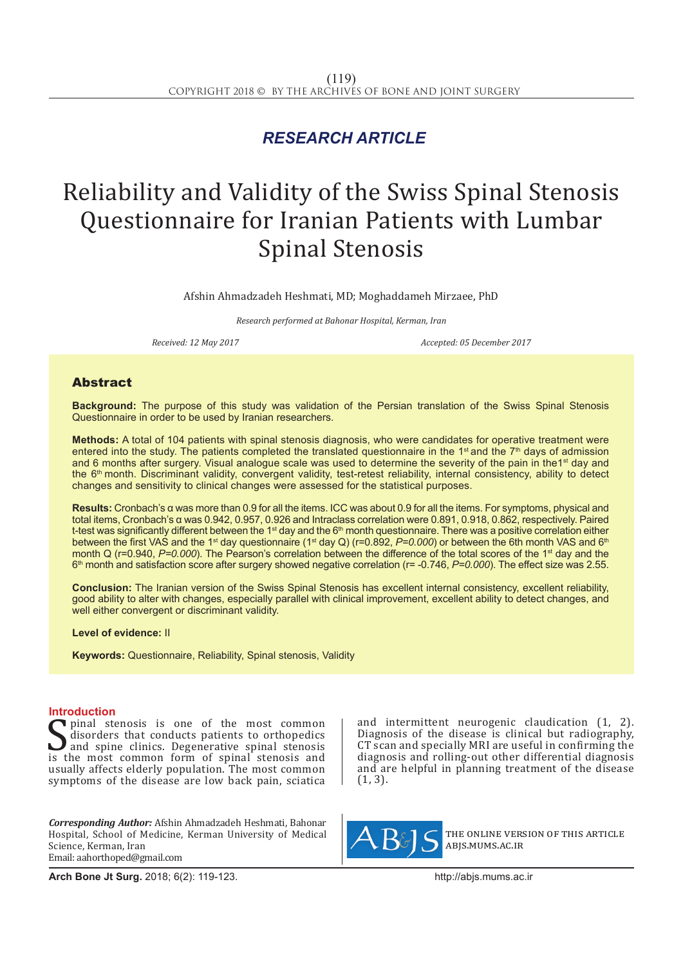## *RESEARCH ARTICLE*

# Reliability and Validity of the Swiss Spinal Stenosis Questionnaire for Iranian Patients with Lumbar Spinal Stenosis

Afshin Ahmadzadeh Heshmati, MD; Moghaddameh Mirzaee, PhD

*Research performed at Bahonar Hospital, Kerman, Iran*

*Received: 12 May 2017 Accepted: 05 December 2017*

### Abstract

**Background:** The purpose of this study was validation of the Persian translation of the Swiss Spinal Stenosis Questionnaire in order to be used by Iranian researchers.

**Methods:** A total of 104 patients with spinal stenosis diagnosis, who were candidates for operative treatment were entered into the study. The patients completed the translated questionnaire in the 1<sup>st</sup> and the 7<sup>th</sup> days of admission and 6 months after surgery. Visual analogue scale was used to determine the severity of the pain in the1<sup>st</sup> day and the 6<sup>th</sup> month. Discriminant validity, convergent validity, test-retest reliability, internal consistency, ability to detect changes and sensitivity to clinical changes were assessed for the statistical purposes.

**Results:** Cronbach's α was more than 0.9 for all the items. ICC was about 0.9 for all the items. For symptoms, physical and total items, Cronbach's α was 0.942, 0.957, 0.926 and Intraclass correlation were 0.891, 0.918, 0.862, respectively. Paired t-test was significantly different between the 1<sup>st</sup> day and the  $6<sup>th</sup>$  month questionnaire. There was a positive correlation either between the first VAS and the 1<sup>st</sup> day questionnaire (1<sup>st</sup> day Q) (r=0.892, P=0.000) or between the 6th month VAS and 6<sup>th</sup> month Q (r=0.940, P=0.000). The Pearson's correlation between the difference of the total scores of the 1<sup>st</sup> day and the 6<sup>th</sup> month and satisfaction score after surgery showed negative correlation (r= -0.746, P=0.000). The effect size was 2.55.

**Conclusion:** The Iranian version of the Swiss Spinal Stenosis has excellent internal consistency, excellent reliability, good ability to alter with changes, especially parallel with clinical improvement, excellent ability to detect changes, and well either convergent or discriminant validity.

**Level of evidence:** II

**Keywords:** Questionnaire, Reliability, Spinal stenosis, Validity

**Introduction**<br>**P** pinal stenosis is one of the most common Spinal stenosis is one of the most common<br>disorders that conducts patients to orthopedics<br>is the most common form of spinal stenosis and<br>usually affects elderly population. The most common disorders that conducts patients to orthopedics and spine clinics. Degenerative spinal stenosis is the most common form of spinal stenosis and usually affects elderly population. The most common symptoms of the disease are low back pain, sciatica

*Corresponding Author:* Afshin Ahmadzadeh Heshmati, Bahonar Hospital, School of Medicine, Kerman University of Medical Science, Kerman, Iran Email: aahorthoped@gmail.com

and intermittent neurogenic claudication (1, 2). Diagnosis of the disease is clinical but radiography, CT scan and specially MRI are useful in confirming the diagnosis and rolling-out other differential diagnosis and are helpful in planning treatment of the disease (1, 3).



the online version of this article abjs.mums.ac.ir

**Arch Bone Jt Surg.** 2018; 6(2): 119-123.http://abjs.mums.ac.ir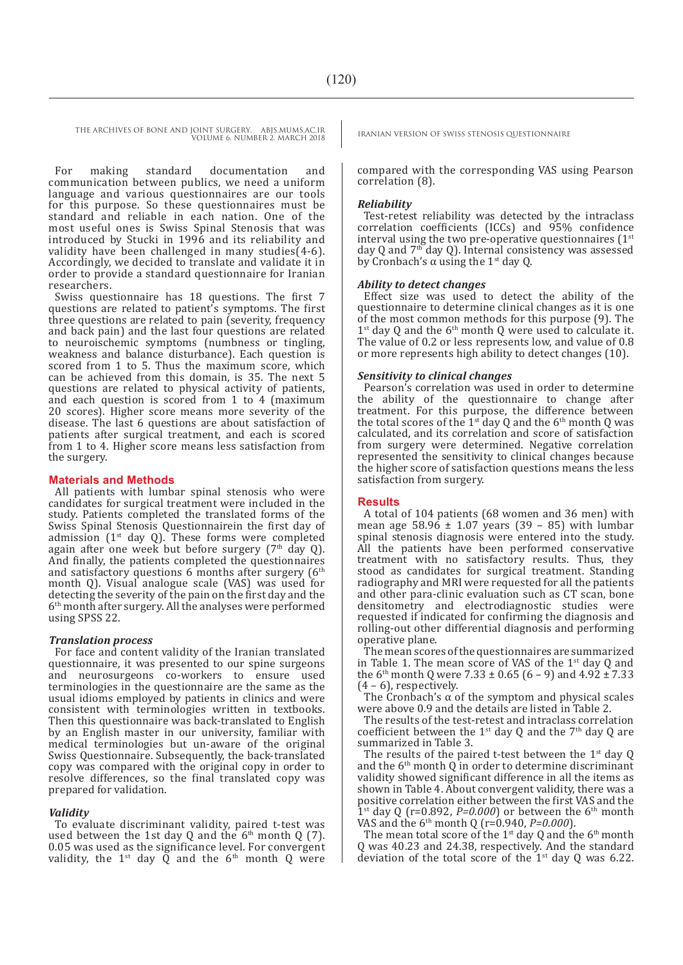For making standard documentation and communication between publics, we need a uniform language and various questionnaires are our tools for this purpose. So these questionnaires must be standard and reliable in each nation. One of the most useful ones is Swiss Spinal Stenosis that was introduced by Stucki in 1996 and its reliability and validity have been challenged in many studies(4-6). Accordingly, we decided to translate and validate it in order to provide a standard questionnaire for Iranian researchers.

Swiss questionnaire has 18 questions. The first 7 questions are related to patient's symptoms. The first three questions are related to pain (severity, frequency and back pain) and the last four questions are related to neuroischemic symptoms (numbness or tingling, weakness and balance disturbance). Each question is scored from 1 to 5. Thus the maximum score, which can be achieved from this domain, is 35. The next 5 questions are related to physical activity of patients, and each question is scored from 1 to 4 (maximum 20 scores). Higher score means more severity of the disease. The last 6 questions are about satisfaction of patients after surgical treatment, and each is scored from 1 to 4. Higher score means less satisfaction from the surgery.

#### **Materials and Methods**

All patients with lumbar spinal stenosis who were candidates for surgical treatment were included in the study. Patients completed the translated forms of the Swiss Spinal Stenosis Questionnairein the first day of admission ( $1<sup>st</sup>$  day Q). These forms were completed again after one week but before surgery  $(7<sup>th</sup>$  day Q). And finally, the patients completed the questionnaires and satisfactory questions 6 months after surgery (6<sup>th</sup> month Q). Visual analogue scale (VAS) was used for detecting the severity of the pain on the first day and the 6th month after surgery. All the analyses were performed using SPSS 22.

#### *Translation process*

For face and content validity of the Iranian translated questionnaire, it was presented to our spine surgeons and neurosurgeons co-workers to ensure used terminologies in the questionnaire are the same as the usual idioms employed by patients in clinics and were consistent with terminologies written in textbooks. Then this questionnaire was back-translated to English by an English master in our university, familiar with medical terminologies but un-aware of the original Swiss Questionnaire. Subsequently, the back-translated copy was compared with the original copy in order to resolve differences, so the final translated copy was prepared for validation.

#### *Validity*

To evaluate discriminant validity, paired t-test was used between the 1st day 0 and the  $6<sup>th</sup>$  month 0 (7). 0.05 was used as the significance level. For convergent validity, the 1<sup>st</sup> day  $\tilde{Q}$  and the 6<sup>th</sup> month Q were

compared with the corresponding VAS using Pearson correlation (8).

#### *Reliability*

Test-retest reliability was detected by the intraclass correlation coefficients (ICCs) and 95% confidence interval using the two pre-operative questionnaires  $(1<sup>st</sup>$ day Q and 7th day Q). Internal consistency was assessed by Cronbach's  $\alpha$  using the 1<sup>st</sup> day Q.

#### *Ability to detect changes*

Effect size was used to detect the ability of the questionnaire to determine clinical changes as it is one of the most common methods for this purpose (9). The  $1^{st}$  day Q and the 6<sup>th</sup> month Q were used to calculate it. The value of 0.2 or less represents low, and value of 0.8 or more represents high ability to detect changes (10).

#### *Sensitivity to clinical changes*

Pearson's correlation was used in order to determine the ability of the questionnaire to change after treatment. For this purpose, the difference between the total scores of the 1<sup>st</sup> day Q and the  $6<sup>th</sup>$  month Q was calculated, and its correlation and score of satisfaction from surgery were determined. Negative correlation represented the sensitivity to clinical changes because the higher score of satisfaction questions means the less satisfaction from surgery.

#### **Results**

A total of 104 patients (68 women and 36 men) with mean age  $58.96 \pm 1.07$  years (39 – 85) with lumbar spinal stenosis diagnosis were entered into the study. All the patients have been performed conservative treatment with no satisfactory results. Thus, they stood as candidates for surgical treatment. Standing radiography and MRI were requested for all the patients and other para-clinic evaluation such as CT scan, bone densitometry and electrodiagnostic studies were requested if indicated for confirming the diagnosis and rolling-out other differential diagnosis and performing operative plane.

The mean scores of the questionnaires are summarized in Table 1. The mean score of VAS of the  $1<sup>st</sup>$  day 0 and the 6<sup>th</sup> month Q were  $7.33 \pm 0.65$  (6 – 9) and  $4.92 \pm 7.33$ (4 – 6), respectively.

The Cronbach's  $\alpha$  of the symptom and physical scales were above 0.9 and the details are listed in Table 2.

The results of the test-retest and intraclass correlation coefficient between the  $1^{st}$  day Q and the  $7^{th}$  day Q are summarized in Table 3.

The results of the paired t-test between the  $1<sup>st</sup>$  day Q and the  $6<sup>th</sup>$  month Q in order to determine discriminant validity showed significant difference in all the items as shown in Table 4. About convergent validity, there was a positive correlation either between the first VAS and the  $1<sup>st</sup>$  day Q (r=0.892, *P=0.000*) or between the 6<sup>th</sup> month VAS and the 6th month Q (r=0.940, *P=0.000*).

The mean total score of the  $1^{st}$  day Q and the  $6^{th}$  month Q was 40.23 and 24.38, respectively. And the standard deviation of the total score of the  $1<sup>st</sup>$  day Q was 6.22.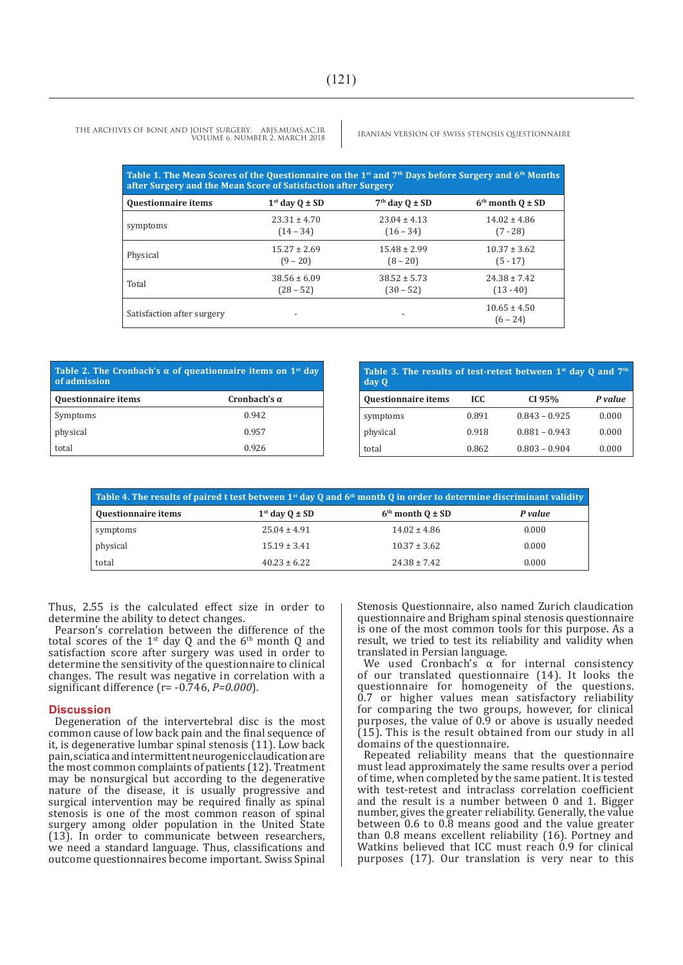| Table 1. The Mean Scores of the Questionnaire on the 1 <sup>st</sup> and $7th$ Days before Surgery and 6 <sup>th</sup> Months<br>after Surgery and the Mean Score of Satisfaction after Surgery |                      |                      |                                |  |  |
|-------------------------------------------------------------------------------------------------------------------------------------------------------------------------------------------------|----------------------|----------------------|--------------------------------|--|--|
| <b>Questionnaire items</b>                                                                                                                                                                      | $1st$ day $0 \pm SD$ | $7th$ day $0 \pm SD$ | $6th$ month $0 \pm SD$         |  |  |
| symptoms                                                                                                                                                                                        | $23.31 \pm 4.70$     | $23.04 \pm 4.13$     | $14.02 \pm 4.86$               |  |  |
|                                                                                                                                                                                                 | $(14 - 34)$          | $(16 - 34)$          | $(7 - 28)$                     |  |  |
| Physical                                                                                                                                                                                        | $15.27 \pm 2.69$     | $15.48 \pm 2.99$     | $10.37 \pm 3.62$               |  |  |
|                                                                                                                                                                                                 | $(9 - 20)$           | $(8 - 20)$           | $(5 - 17)$                     |  |  |
| Total                                                                                                                                                                                           | $38.56 \pm 6.09$     | $38.52 \pm 5.73$     | $24.38 \pm 7.42$               |  |  |
|                                                                                                                                                                                                 | $(28 - 52)$          | $(30 - 52)$          | $(13 - 40)$                    |  |  |
| Satisfaction after surgery                                                                                                                                                                      |                      | $\overline{a}$       | $10.65 \pm 4.50$<br>$(6 - 24)$ |  |  |

| Table 2. The Cronbach's $\alpha$ of queationnaire items on 1 <sup>st</sup> day<br>of admission |                     |  |  |
|------------------------------------------------------------------------------------------------|---------------------|--|--|
| <b>Questionnaire items</b>                                                                     | Cronbach's $\alpha$ |  |  |
| Symptoms                                                                                       | 0.942               |  |  |
| physical                                                                                       | 0.957               |  |  |
| total                                                                                          | 0.926               |  |  |

| Table 3. The results of test-retest between $1st$ day Q and $7th$<br>day 0 |       |                 |         |  |  |
|----------------------------------------------------------------------------|-------|-----------------|---------|--|--|
| <b>Questionnaire items</b>                                                 | ICC.  | CI 95%          | P value |  |  |
| symptoms                                                                   | 0.891 | $0.843 - 0.925$ | 0.000   |  |  |
| physical                                                                   | 0.918 | $0.881 - 0.943$ | 0.000   |  |  |
| total                                                                      | 0.862 | $0.803 - 0.904$ | 0.000   |  |  |

| Table 4. The results of paired t test between $1^{st}$ day Q and $6^{th}$ month Q in order to determine discriminant validity |                      |                        |         |  |  |
|-------------------------------------------------------------------------------------------------------------------------------|----------------------|------------------------|---------|--|--|
| Questionnaire items                                                                                                           | $1st$ day $0 \pm SD$ | $6th$ month $0 \pm SD$ | P value |  |  |
| symptoms                                                                                                                      | $25.04 \pm 4.91$     | $14.02 \pm 4.86$       | 0.000   |  |  |
| physical                                                                                                                      | $15.19 \pm 3.41$     | $10.37 \pm 3.62$       | 0.000   |  |  |
| total                                                                                                                         | $40.23 \pm 6.22$     | $24.38 \pm 7.42$       | 0.000   |  |  |

Thus, 2.55 is the calculated effect size in order to determine the ability to detect changes.

Pearson's correlation between the difference of the total scores of the  $1^{st}$  day Q and the  $6^{th}$  month Q and satisfaction score after surgery was used in order to determine the sensitivity of the questionnaire to clinical changes. The result was negative in correlation with a significant difference (r= -0.746, *P=0.000*).

#### **Discussion**

Degeneration of the intervertebral disc is the most common cause of low back pain and the final sequence of it, is degenerative lumbar spinal stenosis (11). Low back pain, sciatica and intermittent neurogenic claudication are the most common complaints of patients (12). Treatment may be nonsurgical but according to the degenerative nature of the disease, it is usually progressive and surgical intervention may be required finally as spinal stenosis is one of the most common reason of spinal surgery among older population in the United State (13). In order to communicate between researchers, we need a standard language. Thus, classifications and outcome questionnaires become important. Swiss Spinal Stenosis Questionnaire, also named Zurich claudication questionnaire and Brigham spinal stenosis questionnaire is one of the most common tools for this purpose. As a result, we tried to test its reliability and validity when translated in Persian language.

We used Cronbach's α for internal consistency of our translated questionnaire (14). It looks the questionnaire for homogeneity of the questions. 0.7 or higher values mean satisfactory reliability for comparing the two groups, however, for clinical purposes, the value of 0.9 or above is usually needed (15). This is the result obtained from our study in all domains of the questionnaire.

Repeated reliability means that the questionnaire must lead approximately the same results over a period of time, when completed by the same patient. It is tested with test-retest and intraclass correlation coefficient and the result is a number between 0 and 1. Bigger number, gives the greater reliability. Generally, the value between 0.6 to 0.8 means good and the value greater than 0.8 means excellent reliability (16). Portney and Watkins believed that ICC must reach 0.9 for clinical purposes (17). Our translation is very near to this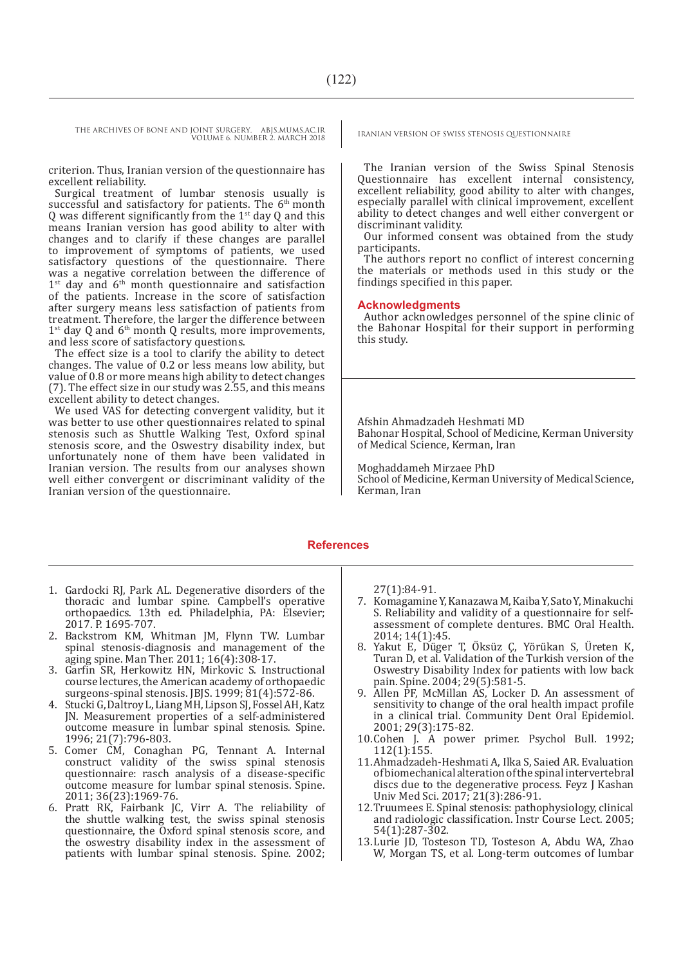criterion. Thus, Iranian version of the questionnaire has excellent reliability.

Surgical treatment of lumbar stenosis usually is successful and satisfactory for patients. The 6<sup>th</sup> month Q was different significantly from the  $1<sup>st</sup>$  day Q and this means Iranian version has good ability to alter with changes and to clarify if these changes are parallel to improvement of symptoms of patients, we used satisfactory questions of the questionnaire. There was a negative correlation between the difference of  $1$ <sup>st</sup> day and  $6$ <sup>th</sup> month questionnaire and satisfaction of the patients. Increase in the score of satisfaction after surgery means less satisfaction of patients from treatment. Therefore, the larger the difference between  $1<sup>st</sup>$  day Q and 6<sup>th</sup> month Q results, more improvements, and less score of satisfactory questions.

The effect size is a tool to clarify the ability to detect changes. The value of 0.2 or less means low ability, but value of 0.8 or more means high ability to detect changes (7). The effect size in our study was 2.55, and this means excellent ability to detect changes.

We used VAS for detecting convergent validity, but it was better to use other questionnaires related to spinal stenosis such as Shuttle Walking Test, Oxford spinal stenosis score, and the Oswestry disability index, but unfortunately none of them have been validated in Iranian version. The results from our analyses shown well either convergent or discriminant validity of the Iranian version of the questionnaire.

The Iranian version of the Swiss Spinal Stenosis Questionnaire has excellent internal consistency, excellent reliability, good ability to alter with changes, especially parallel with clinical improvement, excellent ability to detect changes and well either convergent or discriminant validity.

Our informed consent was obtained from the study participants.

The authors report no conflict of interest concerning the materials or methods used in this study or the findings specified in this paper.

#### **Acknowledgments**

Author acknowledges personnel of the spine clinic of the Bahonar Hospital for their support in performing this study.

Afshin Ahmadzadeh Heshmati MD Bahonar Hospital, School of Medicine, Kerman University of Medical Science, Kerman, Iran

Moghaddameh Mirzaee PhD School of Medicine, Kerman University of Medical Science, Kerman, Iran

#### **References**

- 1. Gardocki RJ, Park AL. Degenerative disorders of the thoracic and lumbar spine. Campbell's operative orthopaedics. 13th ed. Philadelphia, PA: Elsevier; 2017. P. 1695-707.
- 2. Backstrom KM, Whitman JM, Flynn TW. Lumbar spinal stenosis-diagnosis and management of the aging spine. Man Ther. 2011; 16(4):308-17.
- 3. Garfin SR, Herkowitz HN, Mirkovic S. Instructional course lectures, the American academy of orthopaedic surgeons-spinal stenosis. JBJS. 1999; 81(4):572-86.
- 4. Stucki G, Daltroy L, Liang MH, Lipson SJ, Fossel AH, Katz JN. Measurement properties of a self-administered outcome measure in lumbar spinal stenosis. Spine. 1996; 21(7):796-803.
- 5. Comer CM, Conaghan PG, Tennant A. Internal construct validity of the swiss spinal stenosis questionnaire: rasch analysis of a disease-specific outcome measure for lumbar spinal stenosis. Spine. 2011; 36(23):1969-76.
- 6. Pratt RK, Fairbank JC, Virr A. The reliability of the shuttle walking test, the swiss spinal stenosis questionnaire, the Oxford spinal stenosis score, and the oswestry disability index in the assessment of patients with lumbar spinal stenosis. Spine. 2002;

27(1):84-91.

- 7. Komagamine Y, Kanazawa M, Kaiba Y, Sato Y, Minakuchi S. Reliability and validity of a questionnaire for selfassessment of complete dentures. BMC Oral Health. 2014; 14(1):45.
- 8. Yakut E, Düger T, Öksüz Ç, Yörükan S, Üreten K, Turan D, et al. Validation of the Turkish version of the Oswestry Disability Index for patients with low back pain. Spine. 2004; 29(5):581-5.
- 9. Allen PF, McMillan AS, Locker D. An assessment of sensitivity to change of the oral health impact profile in a clinical trial. Community Dent Oral Epidemiol. 2001; 29(3):175-82.
- 10.Cohen J. A power primer. Psychol Bull. 1992; 112(1):155.
- 11.Ahmadzadeh-Heshmati A, Ilka S, Saied AR. Evaluation of biomechanical alteration of the spinal intervertebral discs due to the degenerative process. Feyz J Kashan Univ Med Sci. 2017; 21(3):286-91.
- 12.Truumees E. Spinal stenosis: pathophysiology, clinical and radiologic classification. Instr Course Lect. 2005; 54(1):287-302.
- 13.Lurie JD, Tosteson TD, Tosteson A, Abdu WA, Zhao W, Morgan TS, et al. Long-term outcomes of lumbar